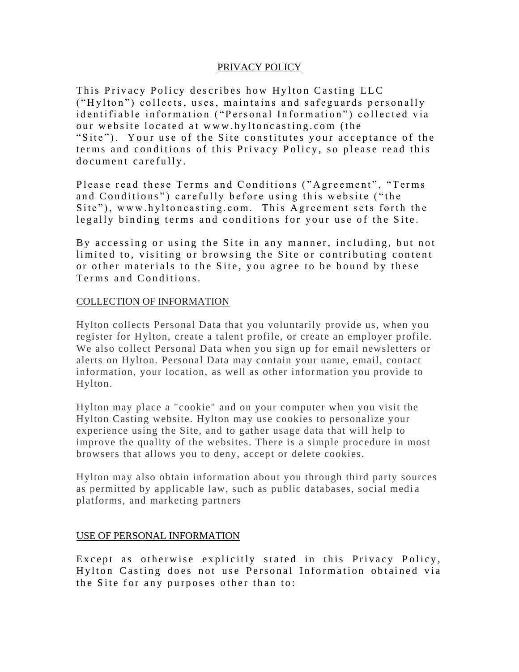## PRIVACY POLICY

This Privacy Policy describes how Hylton Casting LLC ("Hylton") collects, uses, maintains and safeguards personally id entifiable information ("Personal Information") collected via our website located at www.hyltoncasting.com (the "Site"). Your use of the Site constitutes your acceptance of the terms and conditions of this Privacy Policy, so please read this do cument carefully.

Please read these Terms and Conditions ("Agreement", "Terms and Conditions") carefully before using this website ("the Site"), www.hyltoncasting.com. This Agreement sets forth the legally binding terms and conditions for your use of the Site.

By accessing or using the Site in any manner, including, but not limited to, visiting or browsing the Site or contributing content or other materials to the Site, you agree to be bound by these Terms and Conditions.

## COLLECTION OF INFORMATION

Hylton collects Personal Data that you voluntarily provide us, when you register for Hylton, create a talent profile, or create an employer profile. We also collect Personal Data when you sign up for email newsletters or alerts on Hylton. Personal Data may contain your name, email, contact information, your location, as well as other information you provide to Hylton.

Hylton may place a "cookie" and on your computer when you visit the Hylton Casting website. Hylton may use cookies to personalize your experience using the Site, and to gather usage data that will help to improve the quality of the websites. There is a simple procedure in most browsers that allows you to deny, accept or delete cookies.

Hylton may also obtain information about you through third party sources as permitted by applicable law, such as public databases, social medi a platforms, and marketing partners

### USE OF PERSONAL INFORMATION

Except as otherwise explicitly stated in this Privacy Policy, Hylton Casting does not use Personal Information obtained via the Site for any purposes other than to: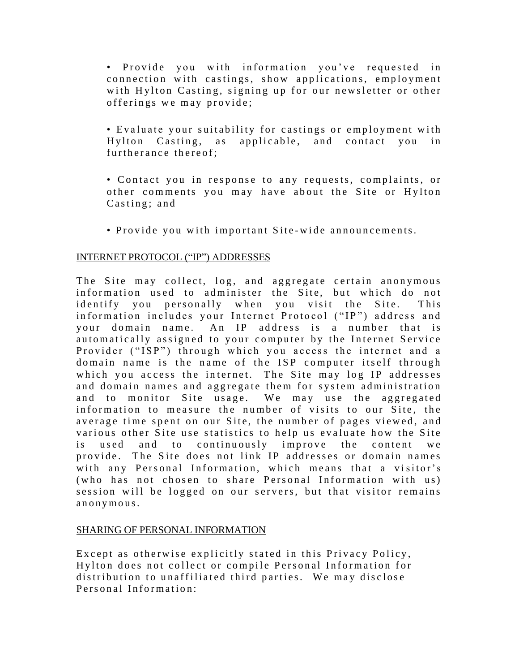• Provide you with information you've requested in connection with castings, show applications, employment with Hylton Casting, signing up for our newsletter or other offerings we may provide;

• Evaluate your suitability for castings or employment with Hylton Casting, as applicable, and contact you in fur therance there of:

• Contact you in response to any requests, complaints, or other comments you may have about the Site or Hylton  $C$  asting; and

• Provide you with important Site-wide announcements.

### INTERNET PROTOCOL ("IP") ADDRESSES

The Site may collect, log, and aggregate certain anonymous information used to administer the Site, but which do not identify you personally when you visit the Site. This information includes your Internet Protocol ("IP") address and your domain name. An IP address is a number that is automatically assigned to your computer by the Internet Service Provider ("ISP") through which you access the internet and a domain name is the name of the ISP computer itself through which you access the internet. The Site may log IP addresses and domain names and aggregate them for system administration and to monitor Site usage. We may use the aggregated information to measure the number of visits to our Site, the average time spent on our Site, the number of pages viewed, and various other Site use statistics to help us evaluate how the Site is used and to continuously improve the content we provide. The Site does not link IP addresses or domain names with any Personal Information, which means that a visitor's (who has not chosen to share Personal Information with us) session will be logged on our servers, but that visitor remains an on y m ous.

### SHARING OF PERSONAL INFORMATION

Except as otherwise explicitly stated in this Privacy Policy, Hylton does not collect or compile Personal Information for distribution to unaffiliated third parties. We may disclose Personal Information: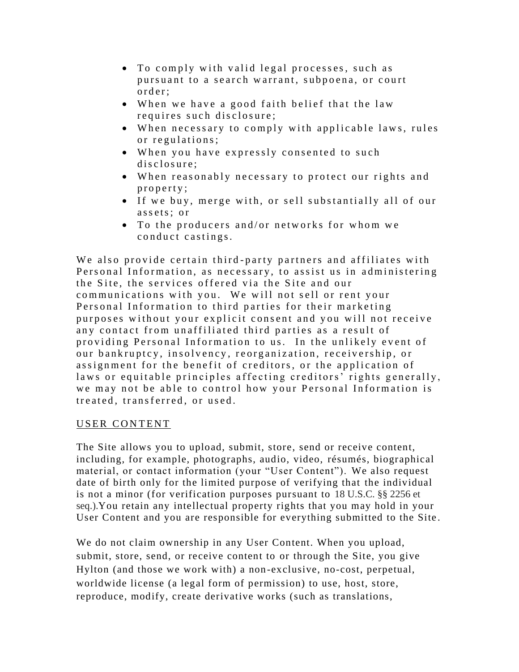- To comply with valid legal processes, such as pursuant to a search warrant, subpoena, or court order:
- When we have a good faith belief that the law requires such disclosure;
- When necessary to comply with applicable laws, rules or regulations;
- When you have expressly consented to such disclosure:
- When reasonably necessary to protect our rights and property;
- If we buy, merge with, or sell substantially all of our assets: or
- To the producers and/or networks for whom we conduct castings.

We also provide certain third-party partners and affiliates with Personal Information, as necessary, to assist us in administering the Site, the services offered via the Site and our communications with you. We will not sell or rent your Personal Information to third parties for their marketing purposes without your explicit consent and you will not receive any contact from unaffiliated third parties as a result of providing Personal Information to us. In the unlikely event of our bankruptcy, insolvency, reorganization, receivership, or assignment for the benefit of creditors, or the application of laws or equitable principles affecting creditors' rights generally, we may not be able to control how your Personal Information is treated, transferred, or used.

# USER CONTENT

The Site allows you to upload, submit, store, send or receive content, including, for example, photographs, audio, video, résumés, biographical material, or contact information (your "User Content"). We also request date of birth only for the limited purpose of verifying that the individual is not a minor (for verification purposes pursuant to 18 U.S.C. §§ 2256 et seq.).You retain any intellectual property rights that you may hold in your User Content and you are responsible for everything submitted to the Site .

We do not claim ownership in any User Content. When you upload, submit, store, send, or receive content to or through the Site, you give Hylton (and those we work with) a non-exclusive, no-cost, perpetual, worldwide license (a legal form of permission) to use, host, store, reproduce, modify, create derivative works (such as translations,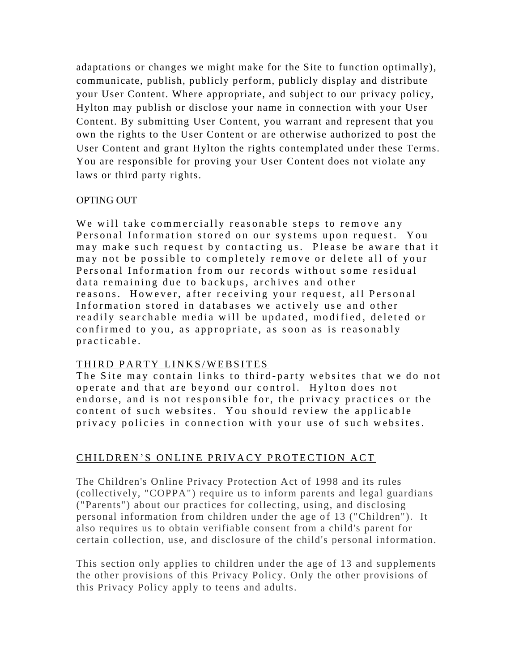adaptations or changes we might make for the Site to function optimally), communicate, publish, publicly perform, publicly display and distribute your User Content. Where appropriate, and subject to our privacy policy, Hylton may publish or disclose your name in connection with your User Content. By submitting User Content, you warrant and represent that you own the rights to the User Content or are otherwise authorized to post the User Content and grant Hylton the rights contemplated under these Terms. You are responsible for proving your User Content does not violate any laws or third party rights.

# OPTING OUT

We will take commercially reasonable steps to remove any Personal Information stored on our systems upon request. You may make such request by contacting us. Please be aware that it may not be possible to completely remove or delete all of your Personal Information from our records without some residual data remaining due to backups, archives and other reasons. However, after receiving your request, all Personal Information stored in databases we actively use and other readily searchable media will be updated, modified, deleted or confirmed to you, as appropriate, as soon as is reasonably practicable.

# THIRD PARTY LINKS/WEBSITES

The Site may contain links to third-party websites that we do not operate and that are beyond our control. Hylton does not endorse, and is not responsible for, the privacy practices or the content of such websites. You should review the applicable privacy policies in connection with your use of such websites.

# CHILDREN'S ONLINE PRIVACY PROTECTION ACT

The Children's Online Privacy Protection Act of 1998 and its rules (collectively, "COPPA") require us to inform parents and legal guardians ("Parents") about our practices for collecting, using, and disclosing personal information from children under the age of 13 ("Children"). It also requires us to obtain verifiable consent from a child's parent for certain collection, use, and disclosure of the child's personal information.

This section only applies to children under the age of 13 and supplements the other provisions of this Privacy Policy. Only the other provisions of this Privacy Policy apply to teens and adults.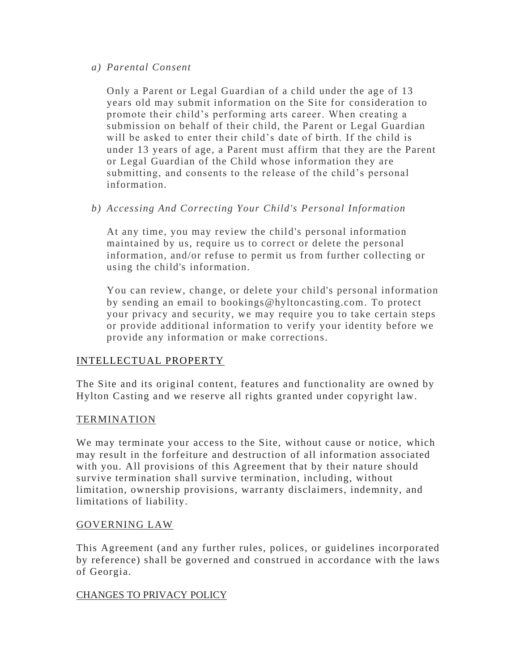### *a) Parental Consent*

Only a Parent or Legal Guardian of a child under the age of 13 years old may submit information on the Site for consideration to promote their child's performing arts career. When creating a submission on behalf of their child, the Parent or Legal Guardian will be asked to enter their child's date of birth. If the child is under 13 years of age, a Parent must affirm that they are the Parent or Legal Guardian of the Child whose information they are submitting, and consents to the release of the child's personal information.

# *b) Accessing And Correcting Your Child's Personal Information*

At any time, you may review the child's personal information maintained by us, require us to correct or delete the personal information, and/or refuse to permit us from further collecting or using the child's information.

You can review, change, or delete your child's personal information by sending an email to bookings@hyltoncasting.com. To protect your privacy and security, we may require you to take certain steps or provide additional information to verify your identity before we provide any information or make corrections.

### INTELLECTUAL PROPERTY

The Site and its original content, features and functionality are owned by Hylton Casting and we reserve all rights granted under copyright law.

### **TERMINATION**

We may terminate your access to the Site, without cause or notice, which may result in the forfeiture and destruction of all information associated with you. All provisions of this Agreement that by their nature should survive termination shall survive termination, including, without limitation, ownership provisions, warr anty disclaimers, indemnity, and limitations of liability.

# GOVERNING LAW

This Agreement (and any further rules, polices, or guidelines incorporated by reference) shall be governed and construed in accordance with the laws of Georgia.

# CHANGES TO PRIVACY POLICY